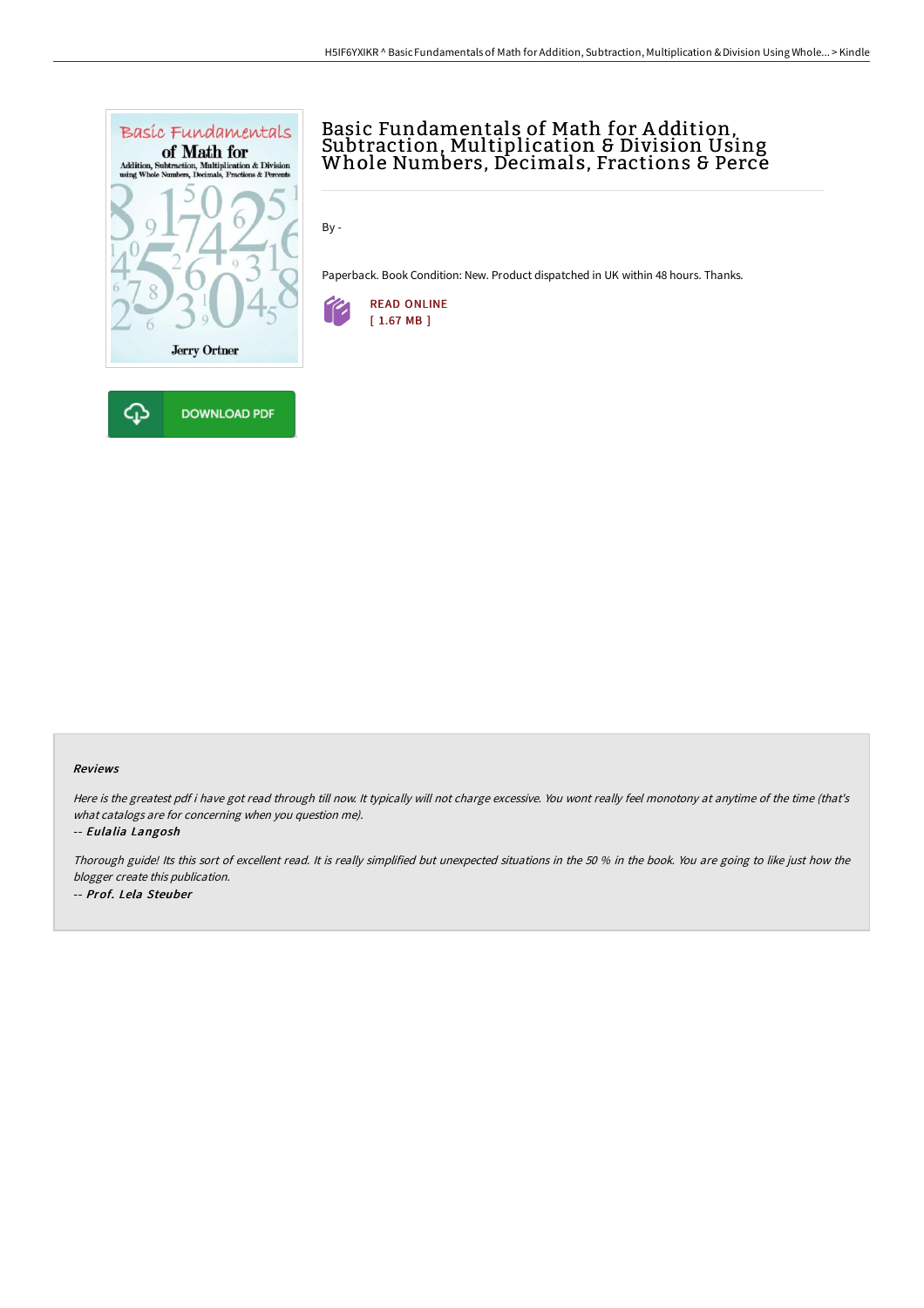

# Basic Fundamentals of Math for A ddition, Subtraction, Multiplication & Division Using Whole Numbers, Decimals, Fractions & Perce

By -

Paperback. Book Condition: New. Product dispatched in UK within 48 hours. Thanks.



#### Reviews

Here is the greatest pdf i have got read through till now. It typically will not charge excessive. You wont really feel monotony at anytime of the time (that's what catalogs are for concerning when you question me).

-- Eulalia Langosh

Thorough guide! Its this sort of excellent read. It is really simplified but unexpected situations in the <sup>50</sup> % in the book. You are going to like just how the blogger create this publication. -- Prof. Lela Steuber